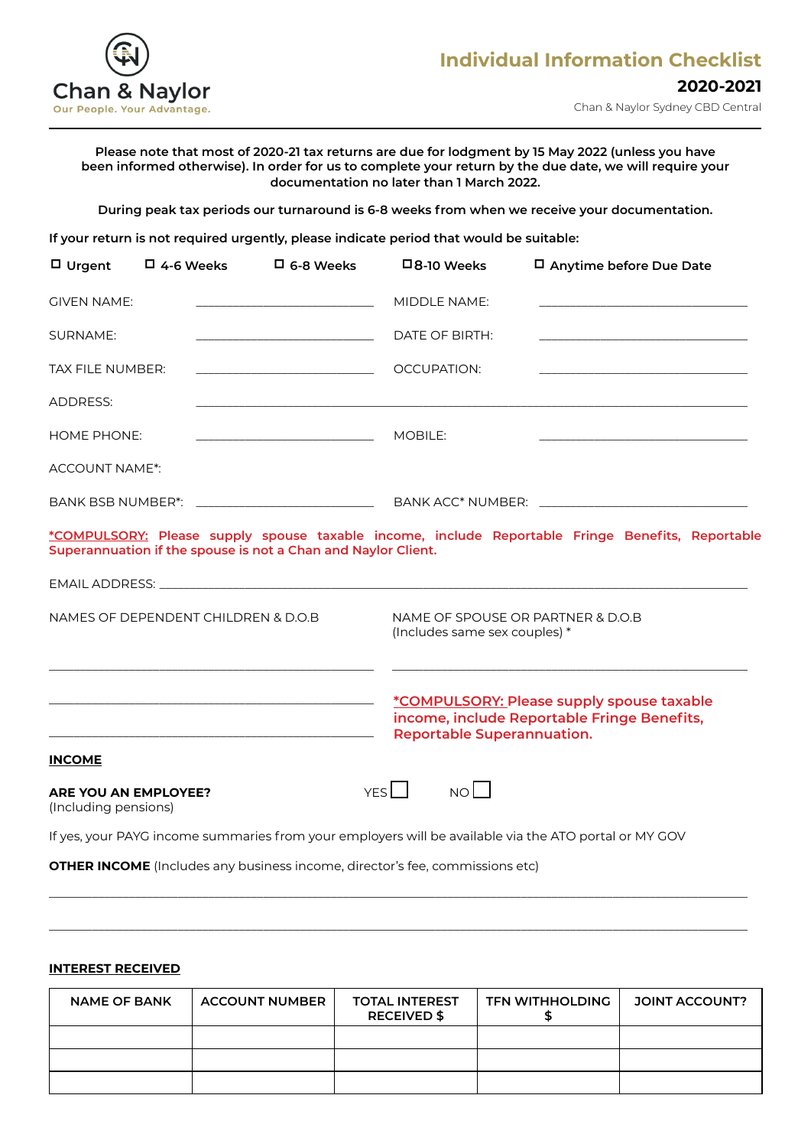

### **Please note that most of 2020-21 tax returns are due for lodgment by 15 May 2022 (unless you have been informed otherwise). In order for us to complete your return by the due date, we will require your documentation no later than 1 March 2022.**

**During peak tax periods our turnaround is 6-8 weeks from when we receive your documentation.**

**If your return is not required urgently, please indicate period that would be suitable:**

| $\Box$ Urgent         | $\Box$ 4-6 Weeks                    | $\Box$ 6-8 Weeks                                              | $\square$ 8-10 Weeks                                                | □ Anytime before Due Date                                                                             |
|-----------------------|-------------------------------------|---------------------------------------------------------------|---------------------------------------------------------------------|-------------------------------------------------------------------------------------------------------|
| <b>GIVEN NAME:</b>    |                                     |                                                               | MIDDLE NAME:                                                        |                                                                                                       |
| <b>SURNAME:</b>       |                                     |                                                               | DATE OF BIRTH:                                                      |                                                                                                       |
| TAX FILE NUMBER:      |                                     | <u> 1989 - Johann Barn, mars eta biztanleria (h. 1989).</u>   | OCCUPATION:                                                         |                                                                                                       |
| ADDRESS:              |                                     |                                                               |                                                                     |                                                                                                       |
| <b>HOME PHONE:</b>    |                                     |                                                               | MOBILE:                                                             |                                                                                                       |
| <b>ACCOUNT NAME*:</b> |                                     |                                                               |                                                                     |                                                                                                       |
|                       |                                     | BANK BSB NUMBER*: ______________________________              |                                                                     |                                                                                                       |
|                       |                                     | Superannuation if the spouse is not a Chan and Naylor Client. |                                                                     | *COMPULSORY: Please supply spouse taxable income, include Reportable Fringe Benefits, Reportable      |
|                       |                                     |                                                               |                                                                     |                                                                                                       |
|                       | NAMES OF DEPENDENT CHILDREN & D.O.B |                                                               | NAME OF SPOUSE OR PARTNER & D.O.B.<br>(Includes same sex couples) * |                                                                                                       |
|                       |                                     |                                                               | <b>Reportable Superannuation.</b>                                   | *COMPULSORY: Please supply spouse taxable<br>income, include Reportable Fringe Benefits,              |
| <b>INCOME</b>         |                                     |                                                               |                                                                     |                                                                                                       |
| (Including pensions)  | <b>ARE YOU AN EMPLOYEE?</b>         |                                                               | NO<br>YES <sup>I</sup>                                              |                                                                                                       |
|                       |                                     |                                                               |                                                                     | If yes, your PAYG income summaries from your employers will be available via the ATO portal or MY GOV |

**OTHER INCOME** (Includes any business income, director's fee, commissions etc)

## **INTEREST RECEIVED**

| <b>NAME OF BANK</b> | <b>ACCOUNT NUMBER</b> | <b>TOTAL INTEREST</b><br><b>RECEIVED \$</b> | <b>TFN WITHHOLDING</b> | <b>JOINT ACCOUNT?</b> |
|---------------------|-----------------------|---------------------------------------------|------------------------|-----------------------|
|                     |                       |                                             |                        |                       |
|                     |                       |                                             |                        |                       |
|                     |                       |                                             |                        |                       |

\_\_\_\_\_\_\_\_\_\_\_\_\_\_\_\_\_\_\_\_\_\_\_\_\_\_\_\_\_\_\_\_\_\_\_\_\_\_\_\_\_\_\_\_\_\_\_\_\_\_\_\_\_\_\_\_\_\_\_\_\_\_\_\_\_\_\_\_\_\_\_\_\_\_\_\_\_\_\_\_\_\_\_\_\_\_\_\_\_\_\_\_\_\_\_\_\_\_\_\_\_\_\_\_\_\_\_\_\_\_\_\_\_\_

\_\_\_\_\_\_\_\_\_\_\_\_\_\_\_\_\_\_\_\_\_\_\_\_\_\_\_\_\_\_\_\_\_\_\_\_\_\_\_\_\_\_\_\_\_\_\_\_\_\_\_\_\_\_\_\_\_\_\_\_\_\_\_\_\_\_\_\_\_\_\_\_\_\_\_\_\_\_\_\_\_\_\_\_\_\_\_\_\_\_\_\_\_\_\_\_\_\_\_\_\_\_\_\_\_\_\_\_\_\_\_\_\_\_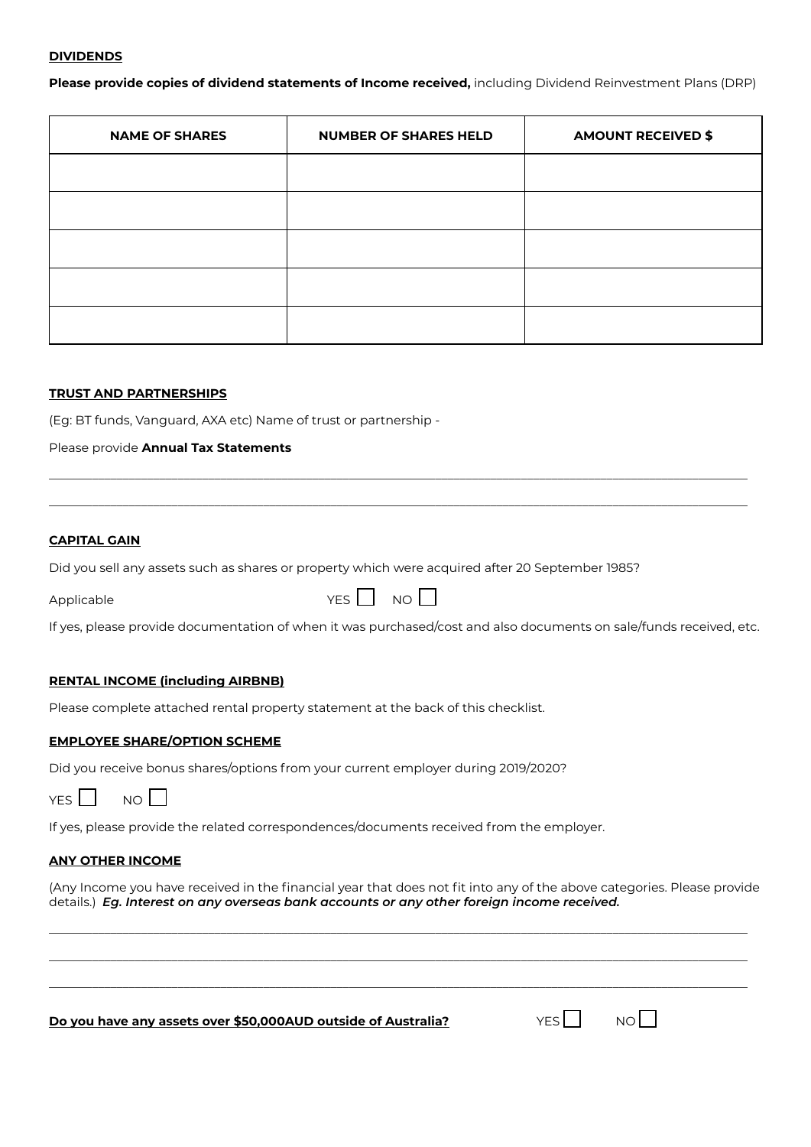#### **DIVIDENDS**

**Please provide copies of dividend statements of Income received,** including Dividend Reinvestment Plans (DRP)

| <b>NAME OF SHARES</b> | <b>NUMBER OF SHARES HELD</b> | <b>AMOUNT RECEIVED \$</b> |
|-----------------------|------------------------------|---------------------------|
|                       |                              |                           |
|                       |                              |                           |
|                       |                              |                           |
|                       |                              |                           |
|                       |                              |                           |

## **TRUST AND PARTNERSHIPS**

(Eg: BT funds, Vanguard, AXA etc) Name of trust or partnership -

Please provide **Annual Tax Statements**

#### **CAPITAL GAIN**

Did you sell any assets such as shares or property which were acquired after 20 September 1985?

 $\Box$  Applicable  $\Box$  NO  $\Box$ 

\_\_\_\_\_\_\_\_\_\_\_\_\_\_\_\_\_\_\_\_\_\_\_\_\_\_\_\_\_\_\_\_\_\_\_\_\_\_\_\_\_\_\_\_\_\_\_\_\_\_\_\_\_\_\_\_\_\_\_\_\_\_\_\_\_\_\_\_\_\_\_\_\_\_\_\_\_\_\_\_\_\_\_\_\_\_\_\_\_\_\_\_\_\_\_\_\_\_\_\_\_\_\_\_\_\_\_\_\_\_\_\_\_\_ \_\_\_\_\_\_\_\_\_\_\_\_\_\_\_\_\_\_\_\_\_\_\_\_\_\_\_\_\_\_\_\_\_\_\_\_\_\_\_\_\_\_\_\_\_\_\_\_\_\_\_\_\_\_\_\_\_\_\_\_\_\_\_\_\_\_\_\_\_\_\_\_\_\_\_\_\_\_\_\_\_\_\_\_\_\_\_\_\_\_\_\_\_\_\_\_\_\_\_\_\_\_\_\_\_\_\_\_\_\_\_\_\_\_

If yes, please provide documentation of when it was purchased/cost and also documents on sale/funds received, etc.

## **RENTAL INCOME (including AIRBNB)**

Please complete attached rental property statement at the back of this checklist.

### **EMPLOYEE SHARE/OPTION SCHEME**

Did you receive bonus shares/options from your current employer during 2019/2020?

| $\sim$ | חוח<br>$\sim$ |  |
|--------|---------------|--|
|--------|---------------|--|

If yes, please provide the related correspondences/documents received from the employer.

## **ANY OTHER INCOME**

(Any Income you have received in the financial year that does not fit into any of the above categories. Please provide details.) *Eg. Interest on any overseas bank accounts or any other foreign income received.*

\_\_\_\_\_\_\_\_\_\_\_\_\_\_\_\_\_\_\_\_\_\_\_\_\_\_\_\_\_\_\_\_\_\_\_\_\_\_\_\_\_\_\_\_\_\_\_\_\_\_\_\_\_\_\_\_\_\_\_\_\_\_\_\_\_\_\_\_\_\_\_\_\_\_\_\_\_\_\_\_\_\_\_\_\_\_\_\_\_\_\_\_\_\_\_\_\_\_\_\_\_\_\_\_\_\_\_\_\_\_\_\_\_\_ \_\_\_\_\_\_\_\_\_\_\_\_\_\_\_\_\_\_\_\_\_\_\_\_\_\_\_\_\_\_\_\_\_\_\_\_\_\_\_\_\_\_\_\_\_\_\_\_\_\_\_\_\_\_\_\_\_\_\_\_\_\_\_\_\_\_\_\_\_\_\_\_\_\_\_\_\_\_\_\_\_\_\_\_\_\_\_\_\_\_\_\_\_\_\_\_\_\_\_\_\_\_\_\_\_\_\_\_\_\_\_\_\_\_ \_\_\_\_\_\_\_\_\_\_\_\_\_\_\_\_\_\_\_\_\_\_\_\_\_\_\_\_\_\_\_\_\_\_\_\_\_\_\_\_\_\_\_\_\_\_\_\_\_\_\_\_\_\_\_\_\_\_\_\_\_\_\_\_\_\_\_\_\_\_\_\_\_\_\_\_\_\_\_\_\_\_\_\_\_\_\_\_\_\_\_\_\_\_\_\_\_\_\_\_\_\_\_\_\_\_\_\_\_\_\_\_\_\_

**Do you have any assets over \$50,000AUD outside of Australia?** YES YES NO

| V<br>$\sim$ |  |  |  |
|-------------|--|--|--|
|-------------|--|--|--|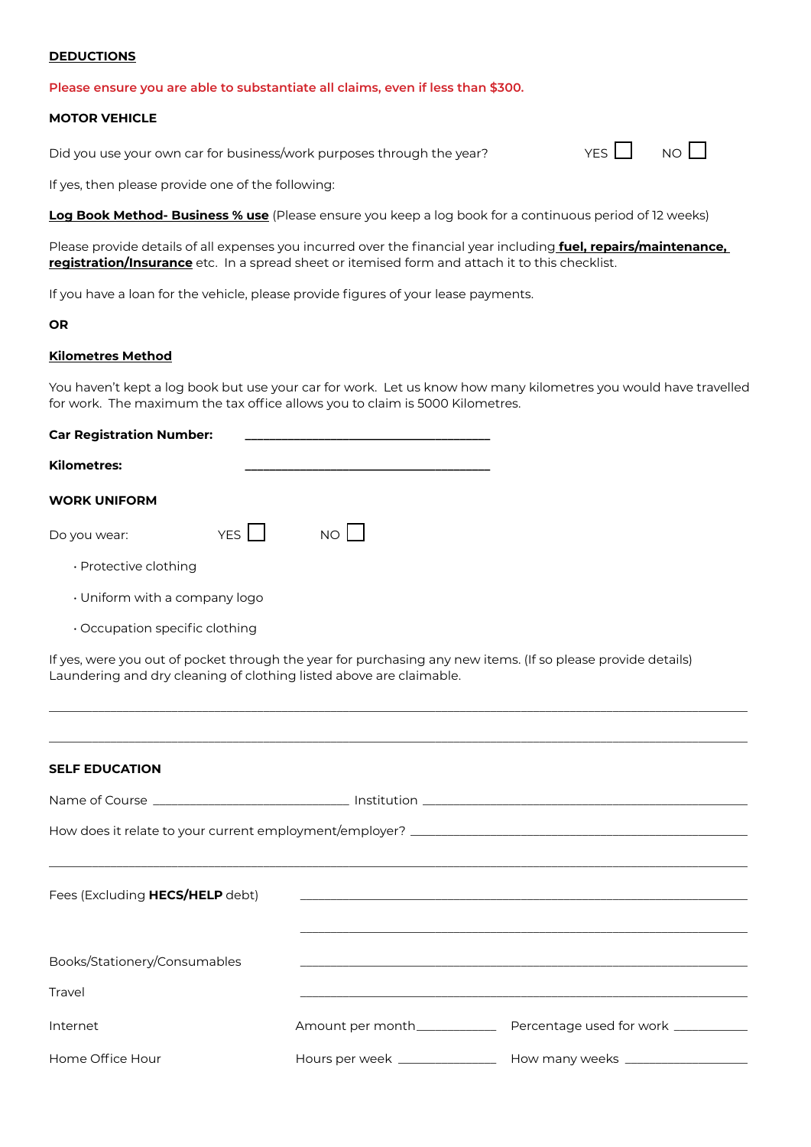### **DEDUCTIONS**

#### **Please ensure you are able to substantiate all claims, even if less than \$300.**

#### **MOTOR VEHICLE**

Did you use your own car for business/work purposes through the year?  $YES \Box NO$ 

If yes, then please provide one of the following:

**Log Book Method- Business % use** (Please ensure you keep a log book for a continuous period of 12 weeks)

Please provide details of all expenses you incurred over the financial year including **fuel, repairs/maintenance, registration/Insurance** etc. In a spread sheet or itemised form and attach it to this checklist.

If you have a loan for the vehicle, please provide figures of your lease payments.

#### **OR**

### **Kilometres Method**

You haven't kept a log book but use your car for work. Let us know how many kilometres you would have travelled for work. The maximum the tax office allows you to claim is 5000 Kilometres.

| <b>Car Registration Number:</b> |       |      |  |  |
|---------------------------------|-------|------|--|--|
| <b>Kilometres:</b>              |       |      |  |  |
| <b>WORK UNIFORM</b>             |       |      |  |  |
| Do you wear:                    | YES I | NOLI |  |  |
| $\cdot$ Protective clothing     |       |      |  |  |

- Uniform with a company logo
- Occupation specific clothing

If yes, were you out of pocket through the year for purchasing any new items. (If so please provide details) Laundering and dry cleaning of clothing listed above are claimable.

\_\_\_\_\_\_\_\_\_\_\_\_\_\_\_\_\_\_\_\_\_\_\_\_\_\_\_\_\_\_\_\_\_\_\_\_\_\_\_\_\_\_\_\_\_\_\_\_\_\_\_\_\_\_\_\_\_\_\_\_\_\_\_\_\_\_\_\_\_\_\_\_\_\_\_\_\_\_\_\_\_\_\_\_\_\_\_\_\_\_\_\_\_\_\_\_\_\_\_\_\_\_\_\_\_\_\_\_\_\_\_\_\_\_

\_\_\_\_\_\_\_\_\_\_\_\_\_\_\_\_\_\_\_\_\_\_\_\_\_\_\_\_\_\_\_\_\_\_\_\_\_\_\_\_\_\_\_\_\_\_\_\_\_\_\_\_\_\_\_\_\_\_\_\_\_\_\_\_\_\_\_\_\_\_\_\_\_\_\_\_\_\_\_\_\_\_\_\_\_\_\_\_\_\_\_\_\_\_\_\_\_\_\_\_\_\_\_\_\_\_\_\_\_\_\_\_\_\_

### **SELF EDUCATION**

| Fees (Excluding HECS/HELP debt) |  |                                                                                  |  |  |  |
|---------------------------------|--|----------------------------------------------------------------------------------|--|--|--|
|                                 |  |                                                                                  |  |  |  |
| Books/Stationery/Consumables    |  |                                                                                  |  |  |  |
| Travel                          |  |                                                                                  |  |  |  |
| Internet                        |  | Amount per month__________________ Percentage used for work _____________        |  |  |  |
| Home Office Hour                |  | Hours per week ____________________ How many weeks _____________________________ |  |  |  |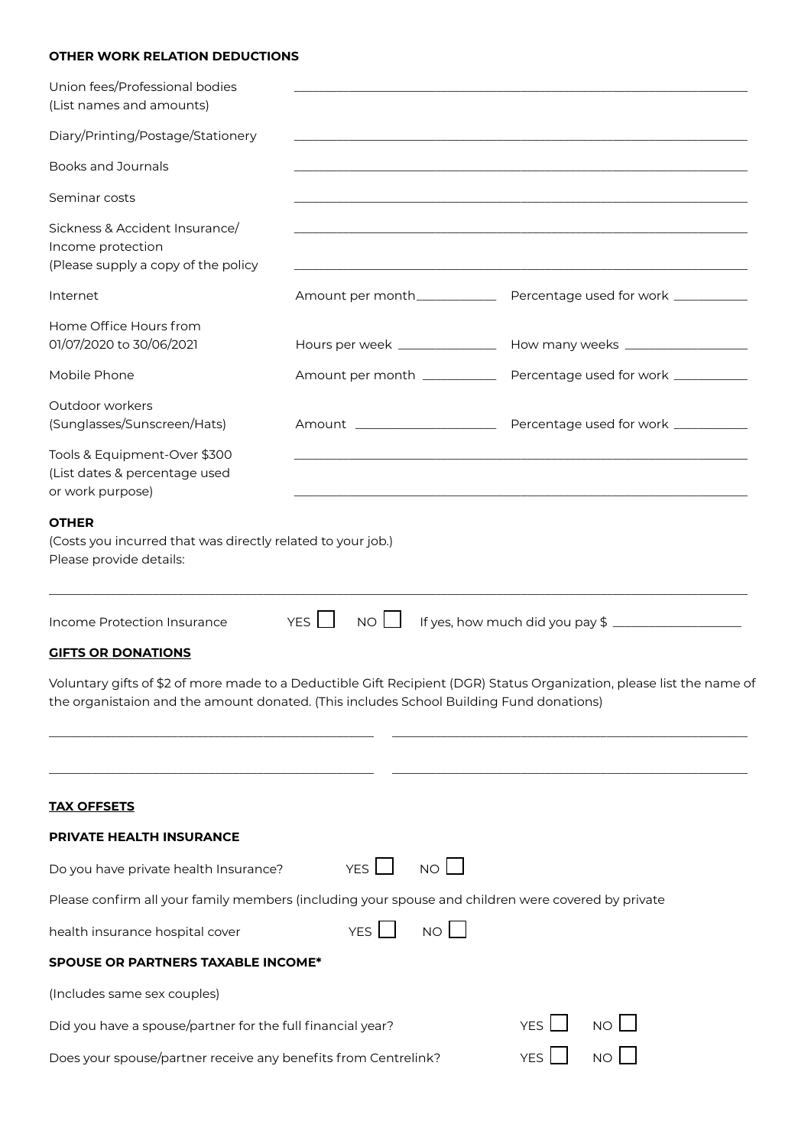# **OTHER WORK RELATION DEDUCTIONS**

| Union fees/Professional bodies<br>(List names and amounts)                                             |                                 |                                                                                                                       |
|--------------------------------------------------------------------------------------------------------|---------------------------------|-----------------------------------------------------------------------------------------------------------------------|
| Diary/Printing/Postage/Stationery                                                                      |                                 |                                                                                                                       |
| <b>Books and Journals</b>                                                                              |                                 |                                                                                                                       |
| Seminar costs                                                                                          |                                 |                                                                                                                       |
| Sickness & Accident Insurance/<br>Income protection<br>(Please supply a copy of the policy             |                                 |                                                                                                                       |
| Internet                                                                                               | Amount per month__________      | Percentage used for work __________                                                                                   |
| Home Office Hours from<br>01/07/2020 to 30/06/2021                                                     | Hours per week ________________ |                                                                                                                       |
| Mobile Phone                                                                                           | Amount per month __________     | Percentage used for work __________                                                                                   |
| Outdoor workers<br>(Sunglasses/Sunscreen/Hats)                                                         | Amount ______________________   | Percentage used for work ___________                                                                                  |
| Tools & Equipment-Over \$300<br>(List dates & percentage used<br>or work purpose)                      |                                 |                                                                                                                       |
| <b>OTHER</b><br>(Costs you incurred that was directly related to your job.)<br>Please provide details: |                                 |                                                                                                                       |
| Income Protection Insurance                                                                            | YES <sup>I</sup><br>$NO$        |                                                                                                                       |
| <b>GIFTS OR DONATIONS</b>                                                                              |                                 |                                                                                                                       |
| the organistaion and the amount donated. (This includes School Building Fund donations)                |                                 | Voluntary gifts of \$2 of more made to a Deductible Gift Recipient (DGR) Status Organization, please list the name of |
|                                                                                                        |                                 |                                                                                                                       |

| <b>TAX OFFSETS</b>                                                                                 |            |                 |            |  |  |
|----------------------------------------------------------------------------------------------------|------------|-----------------|------------|--|--|
| <b>PRIVATE HEALTH INSURANCE</b>                                                                    |            |                 |            |  |  |
| Do you have private health Insurance?                                                              | YES I      | NO L            |            |  |  |
| Please confirm all your family members (including your spouse and children were covered by private |            |                 |            |  |  |
| health insurance hospital cover                                                                    | <b>YFS</b> | NO <sub>1</sub> |            |  |  |
| <b>SPOUSE OR PARTNERS TAXABLE INCOME*</b>                                                          |            |                 |            |  |  |
| (Includes same sex couples)                                                                        |            |                 |            |  |  |
| NO II<br>YFS I<br>Did you have a spouse/partner for the full financial year?                       |            |                 |            |  |  |
| Does your spouse/partner receive any benefits from Centrelink?                                     |            |                 | <b>YFS</b> |  |  |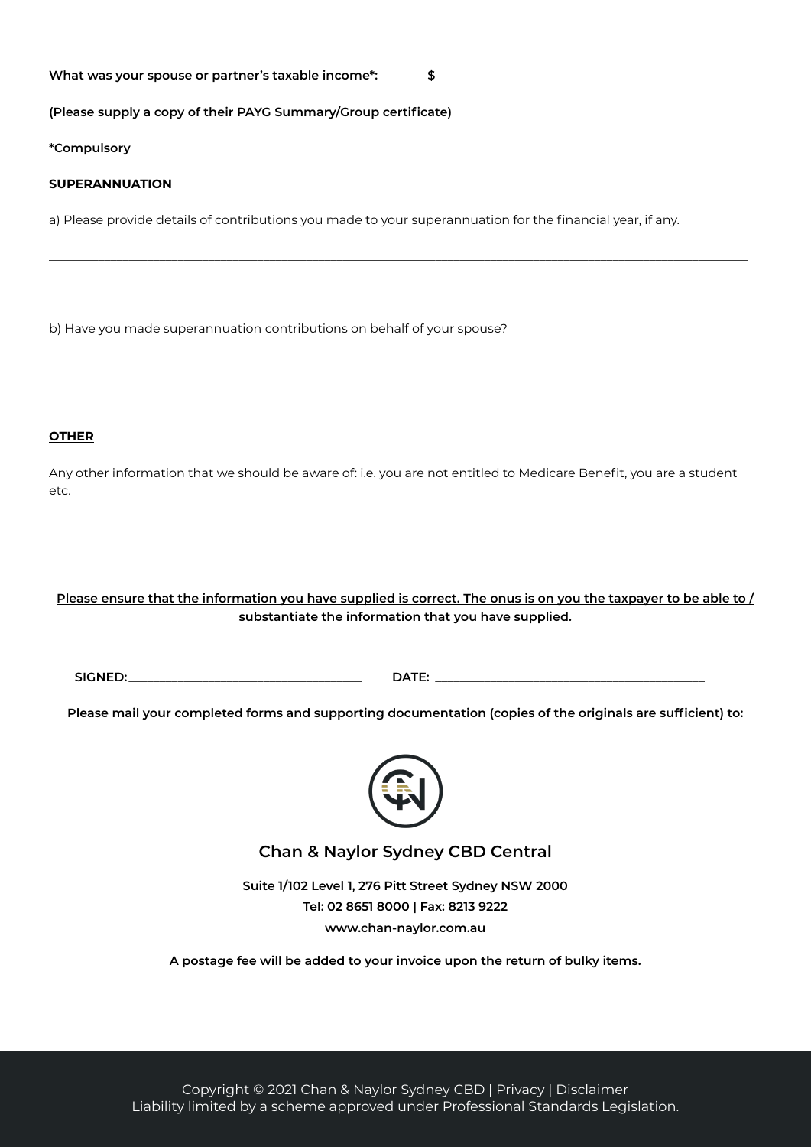# **What was your spouse or partner's taxable income\*: \$** \_\_\_\_\_\_\_\_\_\_\_\_\_\_\_\_\_\_\_\_\_\_\_\_\_\_\_\_\_\_\_\_\_\_\_\_\_\_\_\_\_\_\_\_\_\_\_\_\_\_

**(Please supply a copy of their PAYG Summary/Group certificate)**

**\*Compulsory**

### **SUPERANNUATION**

a) Please provide details of contributions you made to your superannuation for the financial year, if any.

\_\_\_\_\_\_\_\_\_\_\_\_\_\_\_\_\_\_\_\_\_\_\_\_\_\_\_\_\_\_\_\_\_\_\_\_\_\_\_\_\_\_\_\_\_\_\_\_\_\_\_\_\_\_\_\_\_\_\_\_\_\_\_\_\_\_\_\_\_\_\_\_\_\_\_\_\_\_\_\_\_\_\_\_\_\_\_\_\_\_\_\_\_\_\_\_\_\_\_\_\_\_\_\_\_\_\_\_\_\_\_\_\_\_

\_\_\_\_\_\_\_\_\_\_\_\_\_\_\_\_\_\_\_\_\_\_\_\_\_\_\_\_\_\_\_\_\_\_\_\_\_\_\_\_\_\_\_\_\_\_\_\_\_\_\_\_\_\_\_\_\_\_\_\_\_\_\_\_\_\_\_\_\_\_\_\_\_\_\_\_\_\_\_\_\_\_\_\_\_\_\_\_\_\_\_\_\_\_\_\_\_\_\_\_\_\_\_\_\_\_\_\_\_\_\_\_\_\_

\_\_\_\_\_\_\_\_\_\_\_\_\_\_\_\_\_\_\_\_\_\_\_\_\_\_\_\_\_\_\_\_\_\_\_\_\_\_\_\_\_\_\_\_\_\_\_\_\_\_\_\_\_\_\_\_\_\_\_\_\_\_\_\_\_\_\_\_\_\_\_\_\_\_\_\_\_\_\_\_\_\_\_\_\_\_\_\_\_\_\_\_\_\_\_\_\_\_\_\_\_\_\_\_\_\_\_\_\_\_\_\_\_\_

\_\_\_\_\_\_\_\_\_\_\_\_\_\_\_\_\_\_\_\_\_\_\_\_\_\_\_\_\_\_\_\_\_\_\_\_\_\_\_\_\_\_\_\_\_\_\_\_\_\_\_\_\_\_\_\_\_\_\_\_\_\_\_\_\_\_\_\_\_\_\_\_\_\_\_\_\_\_\_\_\_\_\_\_\_\_\_\_\_\_\_\_\_\_\_\_\_\_\_\_\_\_\_\_\_\_\_\_\_\_\_\_\_\_

b) Have you made superannuation contributions on behalf of your spouse?

## **OTHER**

Any other information that we should be aware of: i.e. you are not entitled to Medicare Benefit, you are a student etc.

\_\_\_\_\_\_\_\_\_\_\_\_\_\_\_\_\_\_\_\_\_\_\_\_\_\_\_\_\_\_\_\_\_\_\_\_\_\_\_\_\_\_\_\_\_\_\_\_\_\_\_\_\_\_\_\_\_\_\_\_\_\_\_\_\_\_\_\_\_\_\_\_\_\_\_\_\_\_\_\_\_\_\_\_\_\_\_\_\_\_\_\_\_\_\_\_\_\_\_\_\_\_\_\_\_\_\_\_\_\_\_\_\_\_

\_\_\_\_\_\_\_\_\_\_\_\_\_\_\_\_\_\_\_\_\_\_\_\_\_\_\_\_\_\_\_\_\_\_\_\_\_\_\_\_\_\_\_\_\_\_\_\_\_\_\_\_\_\_\_\_\_\_\_\_\_\_\_\_\_\_\_\_\_\_\_\_\_\_\_\_\_\_\_\_\_\_\_\_\_\_\_\_\_\_\_\_\_\_\_\_\_\_\_\_\_\_\_\_\_\_\_\_\_\_\_\_\_\_

**Please ensure that the information you have supplied is correct. The onus is on you the taxpayer to be able to / substantiate the information that you have supplied.**

**SIGNED:**\_\_\_\_\_\_\_\_\_\_\_\_\_\_\_\_\_\_\_\_\_\_\_\_\_\_\_\_\_\_\_\_\_\_\_\_\_\_ **DATE:** \_\_\_\_\_\_\_\_\_\_\_\_\_\_\_\_\_\_\_\_\_\_\_\_\_\_\_\_\_\_\_\_\_\_\_\_\_\_\_\_\_\_\_\_

**Please mail your completed forms and supporting documentation (copies of the originals are sufficient) to:**



# **Chan & Naylor Sydney CBD Central**

**Suite 1/102 Level 1, 276 Pitt Street Sydney NSW 2000 Tel: 02 8651 8000 | Fax: 8213 9222 www.chan-naylor.com.au**

**A postage fee will be added to your invoice upon the return of bulky items.**